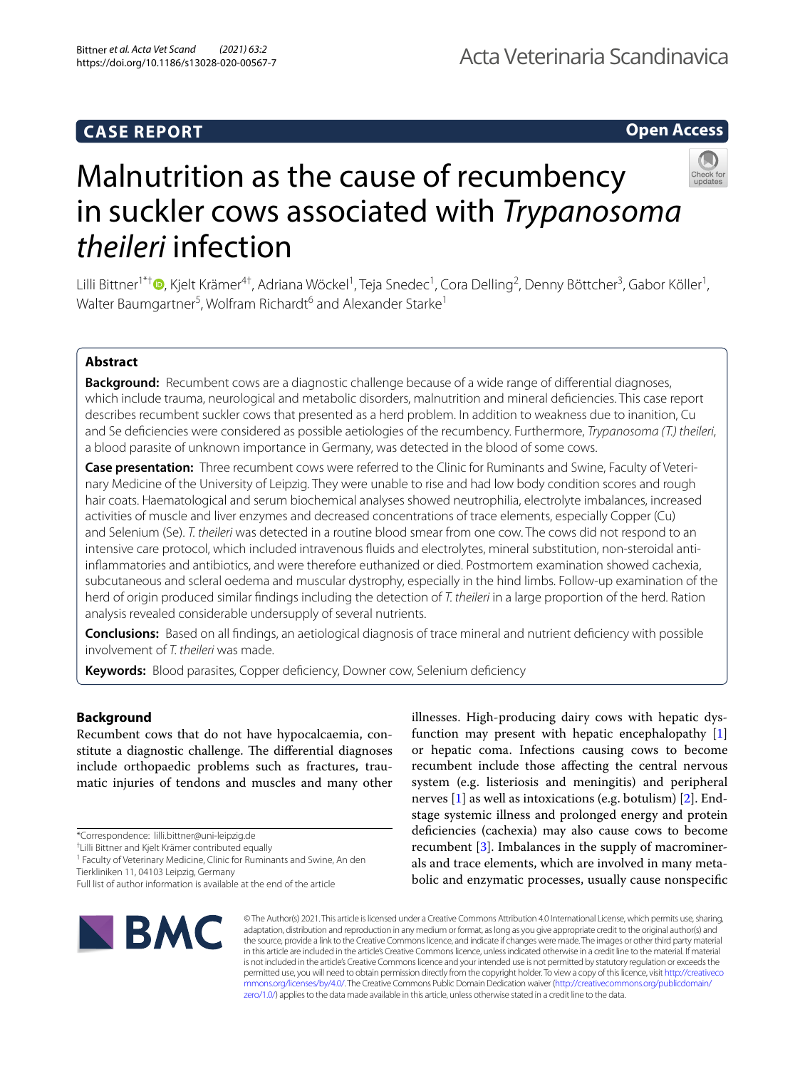# **Open Access**



# Malnutrition as the cause of recumbency in suckler cows associated with *Trypanosoma theileri* infection

Lilli Bittner<sup>1\*†</sup>®[,](http://orcid.org/0000-0001-7815-0648) Kjelt Krämer<sup>4†</sup>, Adriana Wöckel<sup>1</sup>, Teja Snedec<sup>1</sup>, Cora Delling<sup>2</sup>, Denny Böttcher<sup>3</sup>, Gabor Köller<sup>1</sup>, Walter Baumgartner<sup>5</sup>, Wolfram Richardt<sup>6</sup> and Alexander Starke<sup>1</sup>

# **Abstract**

**Background:** Recumbent cows are a diagnostic challenge because of a wide range of diferential diagnoses, which include trauma, neurological and metabolic disorders, malnutrition and mineral defciencies. This case report describes recumbent suckler cows that presented as a herd problem. In addition to weakness due to inanition, Cu and Se defciencies were considered as possible aetiologies of the recumbency. Furthermore, *Trypanosoma (T.) theileri*, a blood parasite of unknown importance in Germany, was detected in the blood of some cows.

**Case presentation:** Three recumbent cows were referred to the Clinic for Ruminants and Swine, Faculty of Veterinary Medicine of the University of Leipzig. They were unable to rise and had low body condition scores and rough hair coats. Haematological and serum biochemical analyses showed neutrophilia, electrolyte imbalances, increased activities of muscle and liver enzymes and decreased concentrations of trace elements, especially Copper (Cu) and Selenium (Se). *T. theileri* was detected in a routine blood smear from one cow. The cows did not respond to an intensive care protocol, which included intravenous fuids and electrolytes, mineral substitution, non-steroidal antiinfammatories and antibiotics, and were therefore euthanized or died. Postmortem examination showed cachexia, subcutaneous and scleral oedema and muscular dystrophy, especially in the hind limbs. Follow-up examination of the herd of origin produced similar fndings including the detection of *T. theileri* in a large proportion of the herd. Ration analysis revealed considerable undersupply of several nutrients.

**Conclusions:** Based on all fndings, an aetiological diagnosis of trace mineral and nutrient defciency with possible involvement of *T. theileri* was made.

Keywords: Blood parasites, Copper deficiency, Downer cow, Selenium deficiency

## **Background**

Recumbent cows that do not have hypocalcaemia, constitute a diagnostic challenge. The differential diagnoses include orthopaedic problems such as fractures, traumatic injuries of tendons and muscles and many other

\*Correspondence: lilli.bittner@uni-leipzig.de

† Lilli Bittner and Kjelt Krämer contributed equally

<sup>1</sup> Faculty of Veterinary Medicine, Clinic for Ruminants and Swine, An den Tierkliniken 11, 04103 Leipzig, Germany

illnesses. High-producing dairy cows with hepatic dysfunction may present with hepatic encephalopathy [\[1](#page-7-0)] or hepatic coma. Infections causing cows to become recumbent include those afecting the central nervous system (e.g. listeriosis and meningitis) and peripheral nerves [\[1\]](#page-7-0) as well as intoxications (e.g. botulism) [\[2](#page-7-1)]. Endstage systemic illness and prolonged energy and protein deficiencies (cachexia) may also cause cows to become recumbent [\[3](#page-7-2)]. Imbalances in the supply of macrominerals and trace elements, which are involved in many metabolic and enzymatic processes, usually cause nonspecifc



© The Author(s) 2021. This article is licensed under a Creative Commons Attribution 4.0 International License, which permits use, sharing, adaptation, distribution and reproduction in any medium or format, as long as you give appropriate credit to the original author(s) and the source, provide a link to the Creative Commons licence, and indicate if changes were made. The images or other third party material in this article are included in the article's Creative Commons licence, unless indicated otherwise in a credit line to the material. If material is not included in the article's Creative Commons licence and your intended use is not permitted by statutory regulation or exceeds the permitted use, you will need to obtain permission directly from the copyright holder. To view a copy of this licence, visit [http://creativeco](http://creativecommons.org/licenses/by/4.0/) [mmons.org/licenses/by/4.0/.](http://creativecommons.org/licenses/by/4.0/) The Creative Commons Public Domain Dedication waiver ([http://creativecommons.org/publicdomain/](http://creativecommons.org/publicdomain/zero/1.0/) [zero/1.0/\)](http://creativecommons.org/publicdomain/zero/1.0/) applies to the data made available in this article, unless otherwise stated in a credit line to the data.

Full list of author information is available at the end of the article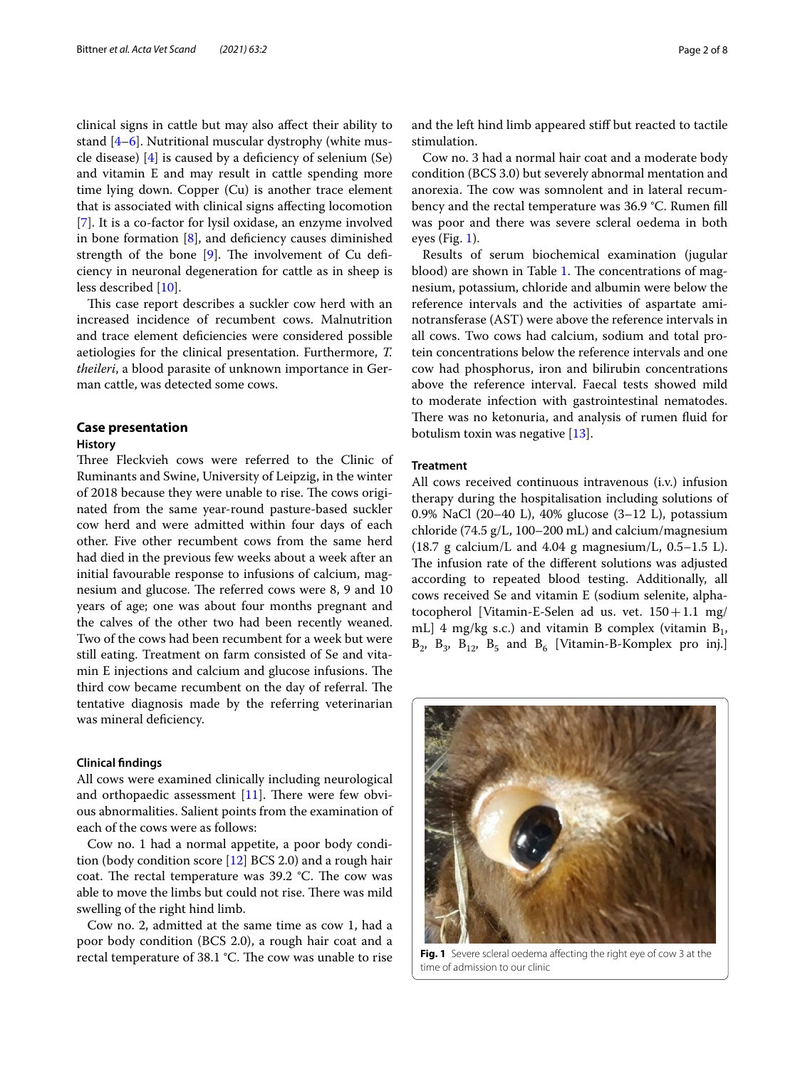clinical signs in cattle but may also afect their ability to stand [[4–](#page-7-3)[6\]](#page-7-4). Nutritional muscular dystrophy (white muscle disease) [\[4](#page-7-3)] is caused by a defciency of selenium (Se) and vitamin E and may result in cattle spending more time lying down. Copper (Cu) is another trace element that is associated with clinical signs afecting locomotion [[7\]](#page-7-5). It is a co-factor for lysil oxidase, an enzyme involved in bone formation  $[8]$  $[8]$ , and deficiency causes diminished strength of the bone  $[9]$  $[9]$ . The involvement of Cu deficiency in neuronal degeneration for cattle as in sheep is less described [[10\]](#page-7-8).

This case report describes a suckler cow herd with an increased incidence of recumbent cows. Malnutrition and trace element defciencies were considered possible aetiologies for the clinical presentation. Furthermore, *T. theileri*, a blood parasite of unknown importance in German cattle, was detected some cows.

#### **Case presentation**

#### **History**

Three Fleckvieh cows were referred to the Clinic of Ruminants and Swine, University of Leipzig, in the winter of 2018 because they were unable to rise. The cows originated from the same year-round pasture-based suckler cow herd and were admitted within four days of each other. Five other recumbent cows from the same herd had died in the previous few weeks about a week after an initial favourable response to infusions of calcium, magnesium and glucose. The referred cows were 8, 9 and 10 years of age; one was about four months pregnant and the calves of the other two had been recently weaned. Two of the cows had been recumbent for a week but were still eating. Treatment on farm consisted of Se and vitamin E injections and calcium and glucose infusions. The third cow became recumbent on the day of referral. The tentative diagnosis made by the referring veterinarian was mineral defciency.

#### **Clinical fndings**

All cows were examined clinically including neurological and orthopaedic assessment  $[11]$  $[11]$  $[11]$ . There were few obvious abnormalities. Salient points from the examination of each of the cows were as follows:

Cow no. 1 had a normal appetite, a poor body condition (body condition score [\[12](#page-7-10)] BCS 2.0) and a rough hair coat. The rectal temperature was  $39.2$  °C. The cow was able to move the limbs but could not rise. There was mild swelling of the right hind limb.

Cow no. 2, admitted at the same time as cow 1, had a poor body condition (BCS 2.0), a rough hair coat and a rectal temperature of  $38.1$  °C. The cow was unable to rise and the left hind limb appeared stif but reacted to tactile stimulation.

Cow no. 3 had a normal hair coat and a moderate body condition (BCS 3.0) but severely abnormal mentation and anorexia. The cow was somnolent and in lateral recumbency and the rectal temperature was 36.9 °C. Rumen fll was poor and there was severe scleral oedema in both eyes (Fig. [1\)](#page-1-0).

Results of serum biochemical examination (jugular blood) are shown in Table [1.](#page-2-0) The concentrations of magnesium, potassium, chloride and albumin were below the reference intervals and the activities of aspartate aminotransferase (AST) were above the reference intervals in all cows. Two cows had calcium, sodium and total protein concentrations below the reference intervals and one cow had phosphorus, iron and bilirubin concentrations above the reference interval. Faecal tests showed mild to moderate infection with gastrointestinal nematodes. There was no ketonuria, and analysis of rumen fluid for botulism toxin was negative [[13\]](#page-7-11).

#### **Treatment**

All cows received continuous intravenous (i.v.) infusion therapy during the hospitalisation including solutions of 0.9% NaCl (20–40 L), 40% glucose (3–12 L), potassium chloride (74.5 g/L, 100–200 mL) and calcium/magnesium  $(18.7 \text{ g calcium/L and } 4.04 \text{ g magnesium/L, } 0.5-1.5 \text{ L}).$ The infusion rate of the different solutions was adjusted according to repeated blood testing. Additionally, all cows received Se and vitamin E (sodium selenite, alphatocopherol [Vitamin-E-Selen ad us. vet.  $150+1.1$  mg/ mL] 4 mg/kg s.c.) and vitamin B complex (vitamin  $B_1$ ,  $B_2$ ,  $B_3$ ,  $B_{12}$ ,  $B_5$  and  $B_6$  [Vitamin-B-Komplex pro inj.]

<span id="page-1-0"></span>

**Fig. 1** Severe scleral oedema afecting the right eye of cow 3 at the time of admission to our clinic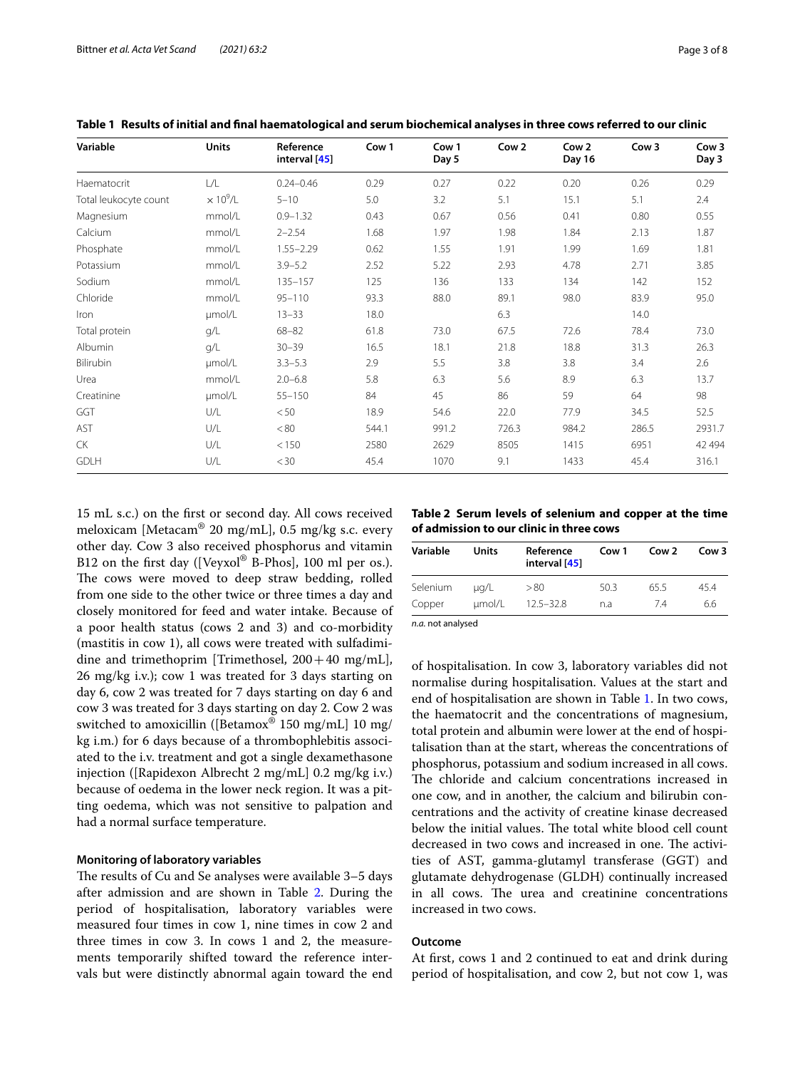| Variable              | Units                       | Reference<br>interval [45] | Cow 1 | Cow 1<br>Day 5 | Cow 2 | Cow <sub>2</sub><br>Day 16 | Cow 3 | Cow 3<br>Day 3 |
|-----------------------|-----------------------------|----------------------------|-------|----------------|-------|----------------------------|-------|----------------|
| Haematocrit           | L/L                         | $0.24 - 0.46$              | 0.29  | 0.27           | 0.22  | 0.20                       | 0.26  | 0.29           |
| Total leukocyte count | $\times$ 10 <sup>9</sup> /L | $5 - 10$                   | 5.0   | 3.2            | 5.1   | 15.1                       | 5.1   | 2.4            |
| Magnesium             | mmol/L                      | $0.9 - 1.32$               | 0.43  | 0.67           | 0.56  | 0.41                       | 0.80  | 0.55           |
| Calcium               | mmol/L                      | $2 - 2.54$                 | 1.68  | 1.97           | 1.98  | 1.84                       | 2.13  | 1.87           |
| Phosphate             | mmol/L                      | $1.55 - 2.29$              | 0.62  | 1.55           | 1.91  | 1.99                       | 1.69  | 1.81           |
| Potassium             | mmol/L                      | $3.9 - 5.2$                | 2.52  | 5.22           | 2.93  | 4.78                       | 2.71  | 3.85           |
| Sodium                | mmol/L                      | $135 - 157$                | 125   | 136            | 133   | 134                        | 142   | 152            |
| Chloride              | mmol/L                      | $95 - 110$                 | 93.3  | 88.0           | 89.1  | 98.0                       | 83.9  | 95.0           |
| Iron                  | umol/L                      | $13 - 33$                  | 18.0  |                | 6.3   |                            | 14.0  |                |
| Total protein         | q/L                         | $68 - 82$                  | 61.8  | 73.0           | 67.5  | 72.6                       | 78.4  | 73.0           |
| Albumin               | q/L                         | $30 - 39$                  | 16.5  | 18.1           | 21.8  | 18.8                       | 31.3  | 26.3           |
| Bilirubin             | umol/L                      | $3.3 - 5.3$                | 2.9   | 5.5            | 3.8   | 3.8                        | 3.4   | 2.6            |
| Urea                  | mmol/L                      | $2.0 - 6.8$                | 5.8   | 6.3            | 5.6   | 8.9                        | 6.3   | 13.7           |
| Creatinine            | umol/L                      | $55 - 150$                 | 84    | 45             | 86    | 59                         | 64    | 98             |
| GGT                   | U/L                         | < 50                       | 18.9  | 54.6           | 22.0  | 77.9                       | 34.5  | 52.5           |
| AST                   | U/L                         | < 80                       | 544.1 | 991.2          | 726.3 | 984.2                      | 286.5 | 2931.7         |
| CK                    | U/L                         | < 150                      | 2580  | 2629           | 8505  | 1415                       | 6951  | 42 4 9 4       |
| <b>GDLH</b>           | U/L                         | $<$ 30                     | 45.4  | 1070           | 9.1   | 1433                       | 45.4  | 316.1          |

<span id="page-2-0"></span>**Table 1 Results of initial and fnal haematological and serum biochemical analyses in three cows referred to our clinic**

15 mL s.c.) on the frst or second day. All cows received meloxicam [Metacam® 20 mg/mL], 0.5 mg/kg s.c. every other day. Cow 3 also received phosphorus and vitamin B12 on the first day ([Veyxol<sup>®</sup> B-Phos], 100 ml per os.). The cows were moved to deep straw bedding, rolled from one side to the other twice or three times a day and closely monitored for feed and water intake. Because of a poor health status (cows 2 and 3) and co-morbidity (mastitis in cow 1), all cows were treated with sulfadimidine and trimethoprim [Trimethosel,  $200+40$  mg/mL], 26 mg/kg i.v.); cow 1 was treated for 3 days starting on day 6, cow 2 was treated for 7 days starting on day 6 and cow 3 was treated for 3 days starting on day 2. Cow 2 was switched to amoxicillin ([Betamox<sup>®</sup> 150 mg/mL] 10 mg/ kg i.m.) for 6 days because of a thrombophlebitis associated to the i.v. treatment and got a single dexamethasone injection ([Rapidexon Albrecht 2 mg/mL] 0.2 mg/kg i.v.) because of oedema in the lower neck region. It was a pitting oedema, which was not sensitive to palpation and had a normal surface temperature.

#### **Monitoring of laboratory variables**

The results of Cu and Se analyses were available 3-5 days after admission and are shown in Table [2](#page-2-1). During the period of hospitalisation, laboratory variables were measured four times in cow 1, nine times in cow 2 and three times in cow 3. In cows 1 and 2, the measurements temporarily shifted toward the reference intervals but were distinctly abnormal again toward the end <span id="page-2-1"></span>**Table 2 Serum levels of selenium and copper at the time of admission to our clinic in three cows**

| Variable          | Units     | Reference<br>interval [45] | Cow 1 | Cow <sub>2</sub> | Cow 3 |
|-------------------|-----------|----------------------------|-------|------------------|-------|
| Selenium          | $\mu q/L$ | >80                        | 50.3  | 65.5             | 454   |
| Copper            | umol/L    | $12.5 - 32.8$              | n.a   | 74               | 6.6   |
| n.a. not analysed |           |                            |       |                  |       |

of hospitalisation. In cow 3, laboratory variables did not normalise during hospitalisation. Values at the start and end of hospitalisation are shown in Table [1](#page-2-0). In two cows, the haematocrit and the concentrations of magnesium, total protein and albumin were lower at the end of hospitalisation than at the start, whereas the concentrations of phosphorus, potassium and sodium increased in all cows. The chloride and calcium concentrations increased in one cow, and in another, the calcium and bilirubin concentrations and the activity of creatine kinase decreased below the initial values. The total white blood cell count decreased in two cows and increased in one. The activities of AST, gamma-glutamyl transferase (GGT) and glutamate dehydrogenase (GLDH) continually increased in all cows. The urea and creatinine concentrations

### **Outcome**

increased in two cows.

At frst, cows 1 and 2 continued to eat and drink during period of hospitalisation, and cow 2, but not cow 1, was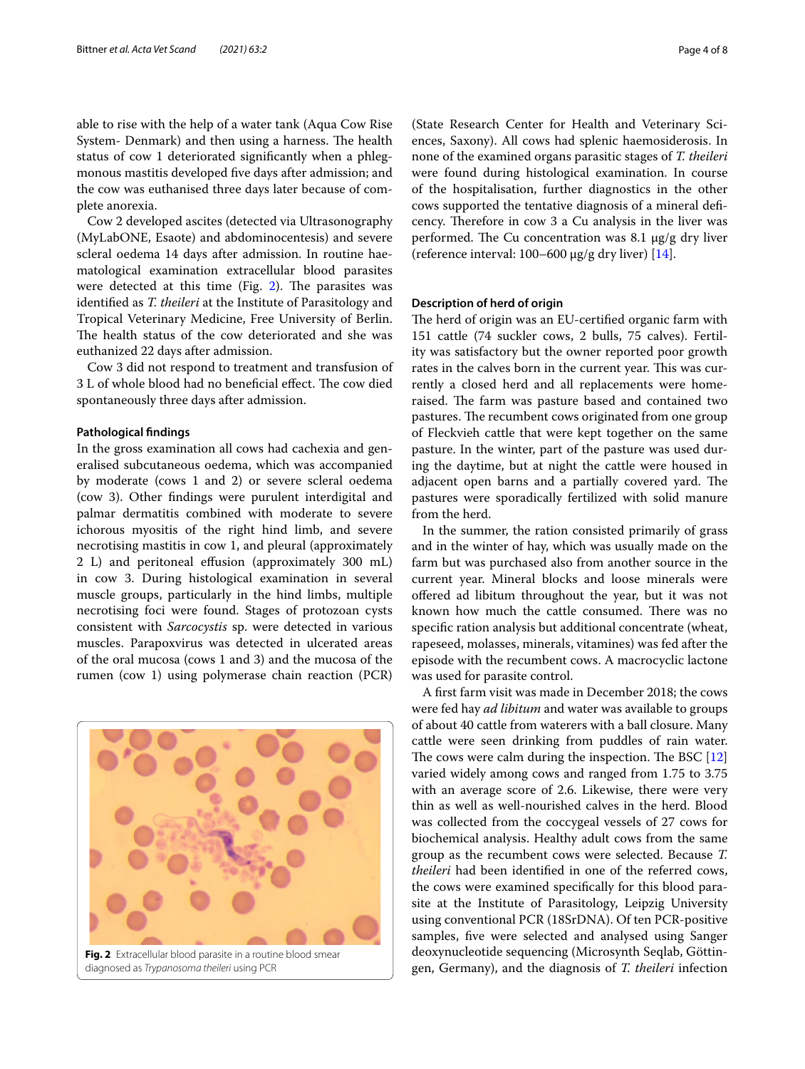able to rise with the help of a water tank (Aqua Cow Rise System- Denmark) and then using a harness. The health status of cow 1 deteriorated signifcantly when a phlegmonous mastitis developed fve days after admission; and the cow was euthanised three days later because of complete anorexia.

Cow 2 developed ascites (detected via Ultrasonography (MyLabONE, Esaote) and abdominocentesis) and severe scleral oedema 14 days after admission. In routine haematological examination extracellular blood parasites were detected at this time (Fig.  $2$ ). The parasites was identifed as *T. theileri* at the Institute of Parasitology and Tropical Veterinary Medicine, Free University of Berlin. The health status of the cow deteriorated and she was euthanized 22 days after admission.

Cow 3 did not respond to treatment and transfusion of 3 L of whole blood had no beneficial effect. The cow died spontaneously three days after admission.

#### **Pathological fndings**

In the gross examination all cows had cachexia and generalised subcutaneous oedema, which was accompanied by moderate (cows 1 and 2) or severe scleral oedema (cow 3). Other fndings were purulent interdigital and palmar dermatitis combined with moderate to severe ichorous myositis of the right hind limb, and severe necrotising mastitis in cow 1, and pleural (approximately 2 L) and peritoneal efusion (approximately 300 mL) in cow 3. During histological examination in several muscle groups, particularly in the hind limbs, multiple necrotising foci were found. Stages of protozoan cysts consistent with *Sarcocystis* sp. were detected in various muscles. Parapoxvirus was detected in ulcerated areas of the oral mucosa (cows 1 and 3) and the mucosa of the rumen (cow 1) using polymerase chain reaction (PCR)

<span id="page-3-0"></span>

(State Research Center for Health and Veterinary Sciences, Saxony). All cows had splenic haemosiderosis. In none of the examined organs parasitic stages of *T. theileri* were found during histological examination. In course of the hospitalisation, further diagnostics in the other cows supported the tentative diagnosis of a mineral defcency. Therefore in cow 3 a Cu analysis in the liver was performed. The Cu concentration was 8.1  $\mu$ g/g dry liver (reference interval:  $100-600 \mu g/g$  dry liver) [\[14](#page-7-13)].

#### **Description of herd of origin**

The herd of origin was an EU-certified organic farm with 151 cattle (74 suckler cows, 2 bulls, 75 calves). Fertility was satisfactory but the owner reported poor growth rates in the calves born in the current year. This was currently a closed herd and all replacements were homeraised. The farm was pasture based and contained two pastures. The recumbent cows originated from one group of Fleckvieh cattle that were kept together on the same pasture. In the winter, part of the pasture was used during the daytime, but at night the cattle were housed in adjacent open barns and a partially covered yard. The pastures were sporadically fertilized with solid manure from the herd.

In the summer, the ration consisted primarily of grass and in the winter of hay, which was usually made on the farm but was purchased also from another source in the current year. Mineral blocks and loose minerals were ofered ad libitum throughout the year, but it was not known how much the cattle consumed. There was no specifc ration analysis but additional concentrate (wheat, rapeseed, molasses, minerals, vitamines) was fed after the episode with the recumbent cows. A macrocyclic lactone was used for parasite control.

A frst farm visit was made in December 2018; the cows were fed hay *ad libitum* and water was available to groups of about 40 cattle from waterers with a ball closure. Many cattle were seen drinking from puddles of rain water. The cows were calm during the inspection. The BSC  $[12]$  $[12]$  $[12]$ varied widely among cows and ranged from 1.75 to 3.75 with an average score of 2.6. Likewise, there were very thin as well as well-nourished calves in the herd. Blood was collected from the coccygeal vessels of 27 cows for biochemical analysis. Healthy adult cows from the same group as the recumbent cows were selected. Because *T. theileri* had been identifed in one of the referred cows, the cows were examined specifcally for this blood parasite at the Institute of Parasitology, Leipzig University using conventional PCR (18SrDNA). Of ten PCR-positive samples, fve were selected and analysed using Sanger deoxynucleotide sequencing (Microsynth Seqlab, Göttingen, Germany), and the diagnosis of *T. theileri* infection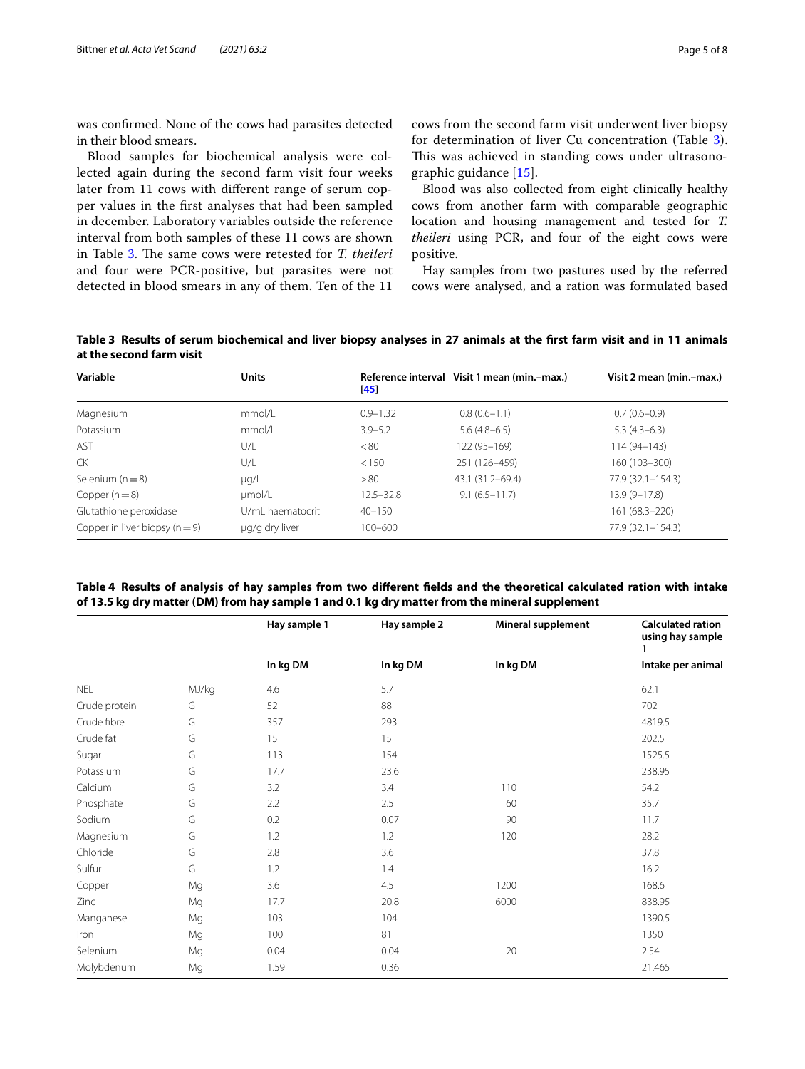was confrmed. None of the cows had parasites detected in their blood smears.

Blood samples for biochemical analysis were collected again during the second farm visit four weeks later from 11 cows with diferent range of serum copper values in the frst analyses that had been sampled in december. Laboratory variables outside the reference interval from both samples of these 11 cows are shown in Table [3.](#page-4-0) The same cows were retested for *T. theileri* and four were PCR-positive, but parasites were not detected in blood smears in any of them. Ten of the 11 cows from the second farm visit underwent liver biopsy for determination of liver Cu concentration (Table [3](#page-4-0)). This was achieved in standing cows under ultrasonographic guidance [\[15\]](#page-7-14).

Blood was also collected from eight clinically healthy cows from another farm with comparable geographic location and housing management and tested for *T. theileri* using PCR, and four of the eight cows were positive.

Hay samples from two pastures used by the referred cows were analysed, and a ration was formulated based

<span id="page-4-0"></span>**Table 3 Results of serum biochemical and liver biopsy analyses in 27 animals at the frst farm visit and in 11 animals at the second farm visit**

| Variable                       | <b>Units</b>     | [45]          | Reference interval Visit 1 mean (min.-max.) | Visit 2 mean (min.-max.) |
|--------------------------------|------------------|---------------|---------------------------------------------|--------------------------|
| Magnesium                      | mmol/L           | $0.9 - 1.32$  | $0.8(0.6-1.1)$                              | $0.7(0.6-0.9)$           |
| Potassium                      | mmol/l           | $3.9 - 5.2$   | $5.6(4.8-6.5)$                              | $5.3(4.3-6.3)$           |
| AST                            | U/L              | < 80          | 122 (95 - 169)                              | $114(94 - 143)$          |
| CK.                            | U/L              | < 150         | 251 (126-459)                               | 160 (103-300)            |
| Selenium $(n=8)$               | $\mu q/L$        | > 80          | 43.1 (31.2-69.4)                            | $77.9(32.1 - 154.3)$     |
| Copper $(n=8)$                 | umol/L           | $12.5 - 32.8$ | $9.1(6.5 - 11.7)$                           | $13.9(9 - 17.8)$         |
| Glutathione peroxidase         | U/ml haematocrit | $40 - 150$    |                                             | 161 (68.3-220)           |
| Copper in liver biopsy $(n=9)$ | µg/g dry liver   | $100 - 600$   |                                             | 77.9 (32.1-154.3)        |

<span id="page-4-1"></span>**Table 4 Results of analysis of hay samples from two diferent felds and the theoretical calculated ration with intake of 13.5 kg dry matter (DM) from hay sample 1 and 0.1 kg dry matter from the mineral supplement**

|               |       | Hay sample 1 | Hay sample 2 | Mineral supplement | <b>Calculated ration</b><br>using hay sample |
|---------------|-------|--------------|--------------|--------------------|----------------------------------------------|
|               |       | In kg DM     | In kg DM     | In kg DM           | Intake per animal                            |
| <b>NEL</b>    | MJ/kg | 4.6          | 5.7          |                    | 62.1                                         |
| Crude protein | G     | 52           | 88           |                    | 702                                          |
| Crude fibre   | G     | 357          | 293          |                    | 4819.5                                       |
| Crude fat     | G     | 15           | 15           |                    | 202.5                                        |
| Sugar         | G     | 113          | 154          |                    | 1525.5                                       |
| Potassium     | G     | 17.7         | 23.6         |                    | 238.95                                       |
| Calcium       | G     | 3.2          | 3.4          | 110                | 54.2                                         |
| Phosphate     | G     | 2.2          | 2.5          | 60                 | 35.7                                         |
| Sodium        | G     | 0.2          | 0.07         | 90                 | 11.7                                         |
| Magnesium     | G     | 1.2          | 1.2          | 120                | 28.2                                         |
| Chloride      | G     | 2.8          | 3.6          |                    | 37.8                                         |
| Sulfur        | G     | 1.2          | 1.4          |                    | 16.2                                         |
| Copper        | Mg    | 3.6          | 4.5          | 1200               | 168.6                                        |
| Zinc          | Mg    | 17.7         | 20.8         | 6000               | 838.95                                       |
| Manganese     | Mg    | 103          | 104          |                    | 1390.5                                       |
| Iron          | Mg    | 100          | 81           |                    | 1350                                         |
| Selenium      | Mg    | 0.04         | 0.04         | 20                 | 2.54                                         |
| Molybdenum    | Mg    | 1.59         | 0.36         |                    | 21.465                                       |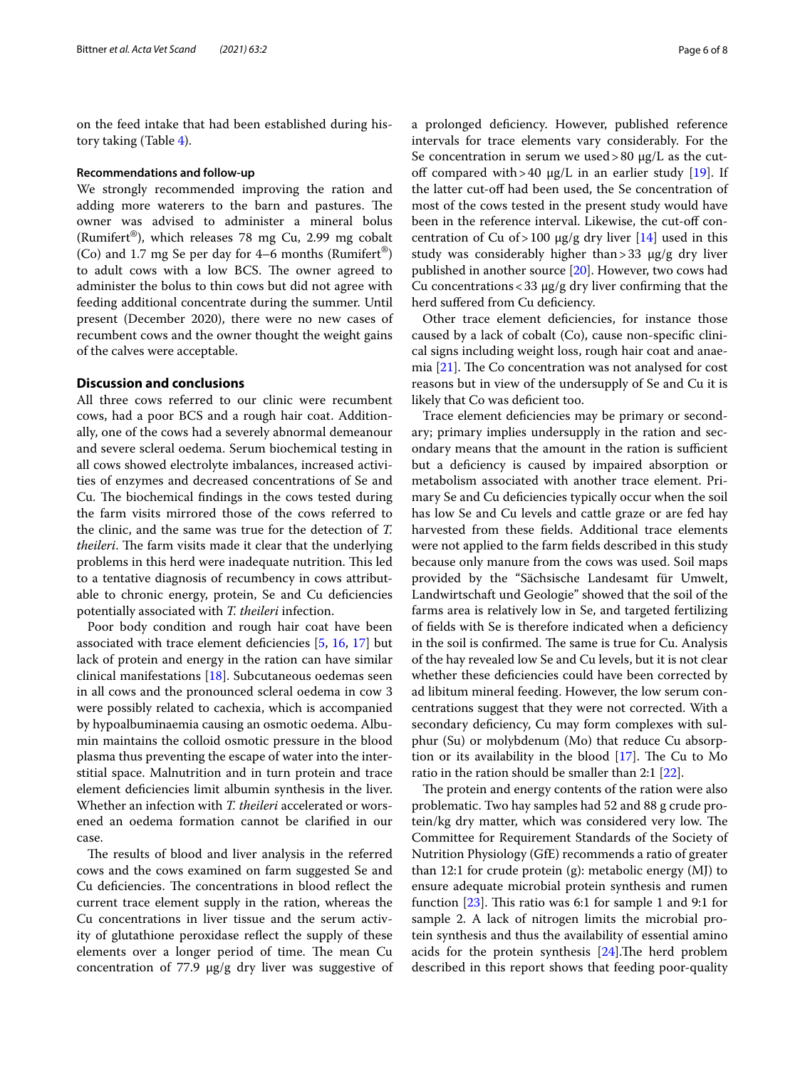on the feed intake that had been established during history taking (Table [4\)](#page-4-1).

#### **Recommendations and follow‑up**

We strongly recommended improving the ration and adding more waterers to the barn and pastures. The owner was advised to administer a mineral bolus (Rumifert®), which releases 78 mg Cu, 2.99 mg cobalt (Co) and 1.7 mg Se per day for 4–6 months (Rumifert<sup>®</sup>) to adult cows with a low BCS. The owner agreed to administer the bolus to thin cows but did not agree with feeding additional concentrate during the summer. Until present (December 2020), there were no new cases of recumbent cows and the owner thought the weight gains of the calves were acceptable.

#### **Discussion and conclusions**

All three cows referred to our clinic were recumbent cows, had a poor BCS and a rough hair coat. Additionally, one of the cows had a severely abnormal demeanour and severe scleral oedema. Serum biochemical testing in all cows showed electrolyte imbalances, increased activities of enzymes and decreased concentrations of Se and Cu. The biochemical findings in the cows tested during the farm visits mirrored those of the cows referred to the clinic, and the same was true for the detection of *T.*  theileri. The farm visits made it clear that the underlying problems in this herd were inadequate nutrition. This led to a tentative diagnosis of recumbency in cows attributable to chronic energy, protein, Se and Cu deficiencies potentially associated with *T. theileri* infection.

Poor body condition and rough hair coat have been associated with trace element defciencies [[5,](#page-7-15) [16,](#page-7-16) [17\]](#page-7-17) but lack of protein and energy in the ration can have similar clinical manifestations [[18\]](#page-7-18). Subcutaneous oedemas seen in all cows and the pronounced scleral oedema in cow 3 were possibly related to cachexia, which is accompanied by hypoalbuminaemia causing an osmotic oedema. Albumin maintains the colloid osmotic pressure in the blood plasma thus preventing the escape of water into the interstitial space. Malnutrition and in turn protein and trace element defciencies limit albumin synthesis in the liver. Whether an infection with *T. theileri* accelerated or worsened an oedema formation cannot be clarifed in our case.

The results of blood and liver analysis in the referred cows and the cows examined on farm suggested Se and Cu deficiencies. The concentrations in blood reflect the current trace element supply in the ration, whereas the Cu concentrations in liver tissue and the serum activity of glutathione peroxidase refect the supply of these elements over a longer period of time. The mean Cu concentration of 77.9  $\mu$ g/g dry liver was suggestive of a prolonged defciency. However, published reference intervals for trace elements vary considerably. For the Se concentration in serum we used > 80  $\mu$ g/L as the cutoff compared with > 40  $\mu$ g/L in an earlier study [\[19\]](#page-7-19). If the latter cut-off had been used, the Se concentration of most of the cows tested in the present study would have been in the reference interval. Likewise, the cut-off concentration of Cu of > 100  $\mu$ g/g dry liver [[14](#page-7-13)] used in this study was considerably higher than > 33  $\mu$ g/g dry liver published in another source [\[20](#page-7-20)]. However, two cows had Cu concentrations <  $33 \mu g/g$  dry liver confirming that the herd suffered from Cu deficiency.

Other trace element defciencies, for instance those caused by a lack of cobalt (Co), cause non-specifc clinical signs including weight loss, rough hair coat and anaemia  $[21]$  $[21]$ . The Co concentration was not analysed for cost reasons but in view of the undersupply of Se and Cu it is likely that Co was deficient too.

Trace element defciencies may be primary or secondary; primary implies undersupply in the ration and secondary means that the amount in the ration is sufficient but a defciency is caused by impaired absorption or metabolism associated with another trace element. Primary Se and Cu defciencies typically occur when the soil has low Se and Cu levels and cattle graze or are fed hay harvested from these felds. Additional trace elements were not applied to the farm felds described in this study because only manure from the cows was used. Soil maps provided by the "Sächsische Landesamt für Umwelt, Landwirtschaft und Geologie" showed that the soil of the farms area is relatively low in Se, and targeted fertilizing of felds with Se is therefore indicated when a defciency in the soil is confirmed. The same is true for Cu. Analysis of the hay revealed low Se and Cu levels, but it is not clear whether these deficiencies could have been corrected by ad libitum mineral feeding. However, the low serum concentrations suggest that they were not corrected. With a secondary deficiency, Cu may form complexes with sulphur (Su) or molybdenum (Mo) that reduce Cu absorption or its availability in the blood  $[17]$  $[17]$ . The Cu to Mo ratio in the ration should be smaller than 2:1 [\[22\]](#page-7-22).

The protein and energy contents of the ration were also problematic. Two hay samples had 52 and 88 g crude protein/kg dry matter, which was considered very low. The Committee for Requirement Standards of the Society of Nutrition Physiology (GfE) recommends a ratio of greater than 12:1 for crude protein (g): metabolic energy (MJ) to ensure adequate microbial protein synthesis and rumen function  $[23]$  $[23]$ . This ratio was 6:1 for sample 1 and 9:1 for sample 2. A lack of nitrogen limits the microbial protein synthesis and thus the availability of essential amino acids for the protein synthesis  $[24]$  $[24]$ . The herd problem described in this report shows that feeding poor-quality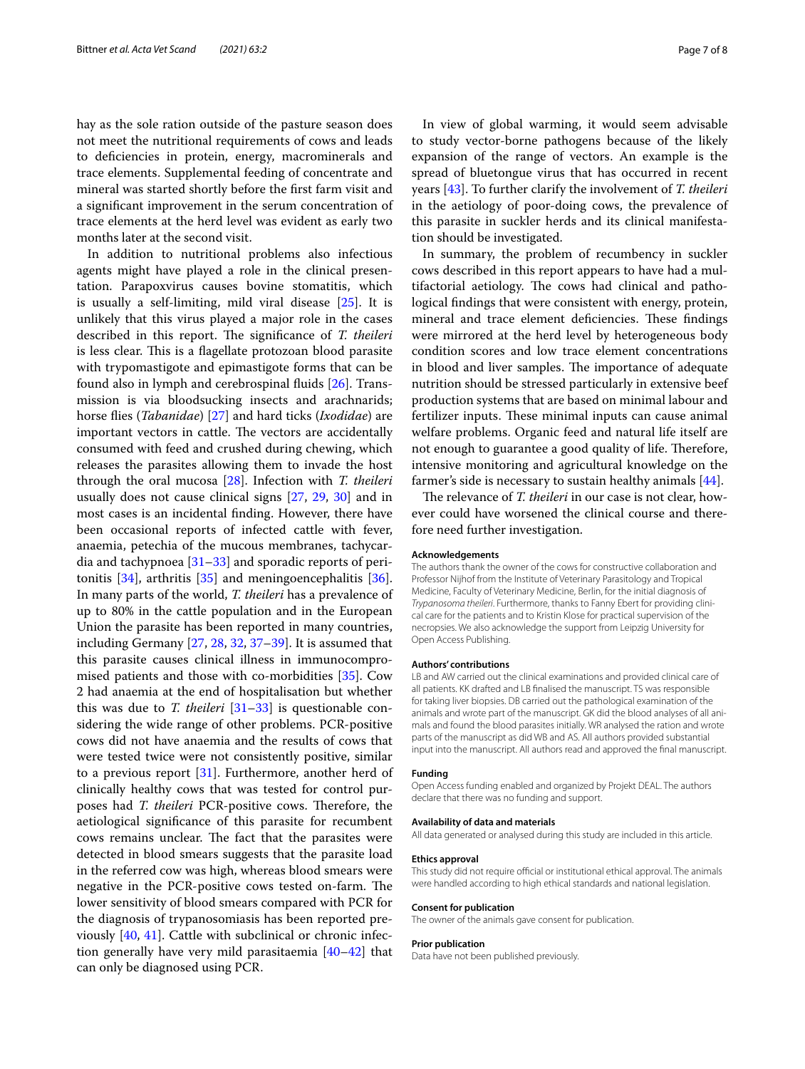hay as the sole ration outside of the pasture season does not meet the nutritional requirements of cows and leads to defciencies in protein, energy, macrominerals and trace elements. Supplemental feeding of concentrate and mineral was started shortly before the frst farm visit and a signifcant improvement in the serum concentration of trace elements at the herd level was evident as early two months later at the second visit.

In addition to nutritional problems also infectious agents might have played a role in the clinical presentation. Parapoxvirus causes bovine stomatitis, which is usually a self-limiting, mild viral disease [\[25](#page-7-25)]. It is unlikely that this virus played a major role in the cases described in this report. The significance of *T. theileri* is less clear. This is a flagellate protozoan blood parasite with trypomastigote and epimastigote forms that can be found also in lymph and cerebrospinal fuids [\[26](#page-7-26)]. Transmission is via bloodsucking insects and arachnarids; horse fies (*Tabanidae*) [[27\]](#page-7-27) and hard ticks (*Ixodidae*) are important vectors in cattle. The vectors are accidentally consumed with feed and crushed during chewing, which releases the parasites allowing them to invade the host through the oral mucosa [\[28](#page-7-28)]. Infection with *T. theileri* usually does not cause clinical signs [\[27](#page-7-27), [29](#page-7-29), [30\]](#page-7-30) and in most cases is an incidental fnding. However, there have been occasional reports of infected cattle with fever, anaemia, petechia of the mucous membranes, tachycardia and tachypnoea  $[31-33]$  $[31-33]$  $[31-33]$  and sporadic reports of peritonitis [[34](#page-7-33)], arthritis [\[35](#page-7-34)] and meningoencephalitis [\[36](#page-7-35)]. In many parts of the world, *T. theileri* has a prevalence of up to 80% in the cattle population and in the European Union the parasite has been reported in many countries, including Germany [\[27](#page-7-27), [28,](#page-7-28) [32](#page-7-36), [37–](#page-7-37)[39\]](#page-7-38). It is assumed that this parasite causes clinical illness in immunocompromised patients and those with co-morbidities [\[35\]](#page-7-34). Cow 2 had anaemia at the end of hospitalisation but whether this was due to *T. theileri* [\[31](#page-7-31)[–33\]](#page-7-32) is questionable considering the wide range of other problems. PCR-positive cows did not have anaemia and the results of cows that were tested twice were not consistently positive, similar to a previous report [[31\]](#page-7-31). Furthermore, another herd of clinically healthy cows that was tested for control purposes had *T. theileri* PCR-positive cows. Therefore, the aetiological signifcance of this parasite for recumbent cows remains unclear. The fact that the parasites were detected in blood smears suggests that the parasite load in the referred cow was high, whereas blood smears were negative in the PCR-positive cows tested on-farm. The lower sensitivity of blood smears compared with PCR for the diagnosis of trypanosomiasis has been reported previously [[40](#page-7-39), [41\]](#page-7-40). Cattle with subclinical or chronic infection generally have very mild parasitaemia [[40–](#page-7-39)[42\]](#page-7-41) that can only be diagnosed using PCR.

In view of global warming, it would seem advisable to study vector-borne pathogens because of the likely expansion of the range of vectors. An example is the spread of bluetongue virus that has occurred in recent years [\[43](#page-7-42)]. To further clarify the involvement of *T. theileri* in the aetiology of poor-doing cows, the prevalence of this parasite in suckler herds and its clinical manifestation should be investigated.

In summary, the problem of recumbency in suckler cows described in this report appears to have had a multifactorial aetiology. The cows had clinical and pathological fndings that were consistent with energy, protein, mineral and trace element deficiencies. These findings were mirrored at the herd level by heterogeneous body condition scores and low trace element concentrations in blood and liver samples. The importance of adequate nutrition should be stressed particularly in extensive beef production systems that are based on minimal labour and fertilizer inputs. These minimal inputs can cause animal welfare problems. Organic feed and natural life itself are not enough to guarantee a good quality of life. Therefore, intensive monitoring and agricultural knowledge on the farmer's side is necessary to sustain healthy animals [\[44](#page-7-43)].

The relevance of *T. theileri* in our case is not clear, however could have worsened the clinical course and therefore need further investigation.

#### **Acknowledgements**

The authors thank the owner of the cows for constructive collaboration and Professor Nijhof from the Institute of Veterinary Parasitology and Tropical Medicine, Faculty of Veterinary Medicine, Berlin, for the initial diagnosis of *Trypanosoma theileri*. Furthermore, thanks to Fanny Ebert for providing clinical care for the patients and to Kristin Klose for practical supervision of the necropsies. We also acknowledge the support from Leipzig University for Open Access Publishing.

#### **Authors' contributions**

LB and AW carried out the clinical examinations and provided clinical care of all patients. KK drafted and LB fnalised the manuscript. TS was responsible for taking liver biopsies. DB carried out the pathological examination of the animals and wrote part of the manuscript. GK did the blood analyses of all animals and found the blood parasites initially. WR analysed the ration and wrote parts of the manuscript as did WB and AS. All authors provided substantial input into the manuscript. All authors read and approved the fnal manuscript.

#### **Funding**

Open Access funding enabled and organized by Projekt DEAL. The authors declare that there was no funding and support.

#### **Availability of data and materials**

All data generated or analysed during this study are included in this article.

#### **Ethics approval**

This study did not require official or institutional ethical approval. The animals were handled according to high ethical standards and national legislation.

#### **Consent for publication**

The owner of the animals gave consent for publication.

#### **Prior publication**

Data have not been published previously.